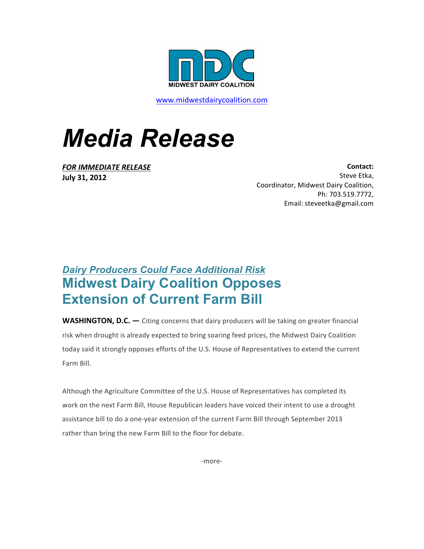

www.midwestdairycoalition.com

## *Media Release*

**FOR IMMEDIATE RELEASE July 31, 2012**

**Contact:**  Steve Etka, Coordinator, Midwest Dairy Coalition, Ph: 703.519.7772, Email: steveetka@gmail.com

## *Dairy Producers Could Face Additional Risk* **Midwest Dairy Coalition Opposes Extension of Current Farm Bill**

**WASHINGTON, D.C.** — Citing concerns that dairy producers will be taking on greater financial risk when drought is already expected to bring soaring feed prices, the Midwest Dairy Coalition today said it strongly opposes efforts of the U.S. House of Representatives to extend the current Farm Bill. 

Although the Agriculture Committee of the U.S. House of Representatives has completed its work on the next Farm Bill, House Republican leaders have voiced their intent to use a drought assistance bill to do a one-year extension of the current Farm Bill through September 2013 rather than bring the new Farm Bill to the floor for debate.

-more-